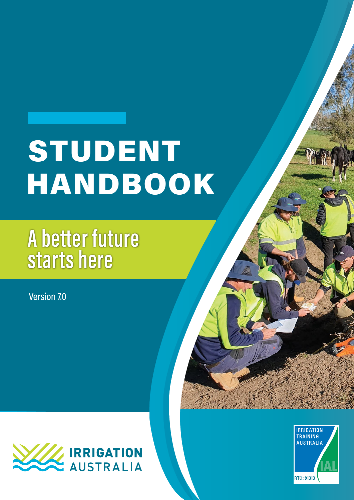# STUDENT HANDBOOK

# **A better future starts here**

Version 7.0



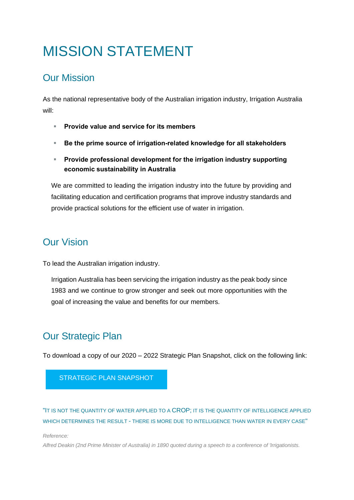### MISSION STATEMENT

### Our Mission

As the national representative body of the Australian irrigation industry, Irrigation Australia will:

- **Provide value and service for its members**
- **Be the prime source of irrigation-related knowledge for all stakeholders**
- **Provide professional development for the irrigation industry supporting economic sustainability in Australia**

We are committed to leading the irrigation industry into the future by providing and facilitating education and certification programs that improve industry standards and provide practical solutions for the efficient use of water in irrigation.

### Our Vision

To lead the Australian irrigation industry.

Irrigation Australia has been servicing the irrigation industry as the peak body since 1983 and we continue to grow stronger and seek out more opportunities with the goal of increasing the value and benefits for our members.

### Our Strategic Plan

To download a copy of our 2020 – 2022 Strategic Plan Snapshot, click on the following link:

### [STRATEGIC PLAN SNAPSHOT](file://///ialsvr01/Data/Board_Restricted%20Access/Board/Board%20Meetings%20_Reports%20&%20Minutes/Strategic%20Planning%20Meetings/Strategic%20Plan%20Snapshots/2020-2022_Irrigation%20Australia_Strategic%20Plan%20Snapshot.pdf)

"IT IS NOT THE QUANTITY OF WATER APPLIED TO A CROP; IT IS THE QUANTITY OF INTELLIGENCE APPLIED WHICH DETERMINES THE RESULT - THERE IS MORE DUE TO INTELLIGENCE THAN WATER IN EVERY CASE"

*Reference:*

*Alfred Deakin (2nd Prime Minister of Australia) in 1890 quoted during a speech to a conference of 'Irrigationists.*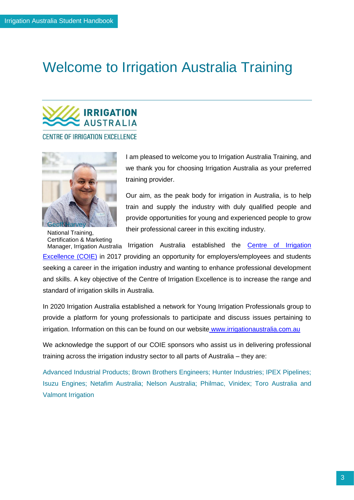### Welcome to Irrigation Australia Training



**CENTRE OF IRRIGATION EXCELLENCE** 



I am pleased to welcome you to Irrigation Australia Training, and we thank you for choosing Irrigation Australia as your preferred training provider.

Our aim, as the peak body for irrigation in Australia, is to help train and supply the industry with duly qualified people and provide opportunities for young and experienced people to grow their professional career in this exciting industry.

National Training, Certification & Marketing

Manager, Irrigation Australia Irrigation Australia established the Centre of Irrigation [Excellence \(COIE\)](https://www.coie.com.au/) in 2017 providing an opportunity for employers/employees and students seeking a career in the irrigation industry and wanting to enhance professional development and skills. A key objective of the Centre of Irrigation Excellence is to increase the range and standard of irrigation skills in Australia.

In 2020 Irrigation Australia established a network for Young Irrigation Professionals group to provide a platform for young professionals to participate and discuss issues pertaining to irrigation. Information on this can be found on our website [www.irrigationaustralia.com.au](https://www.irrigationaustralia.com.au/about-us/young-irrigation-professionals-committee)

We acknowledge the support of our COIE sponsors who assist us in delivering professional training across the irrigation industry sector to all parts of Australia – they are:

Advanced Industrial Products; Brown Brothers Engineers; Hunter Industries; IPEX Pipelines; Isuzu Engines; Netafim Australia; Nelson Australia; Philmac, Vinidex; Toro Australia and Valmont Irrigation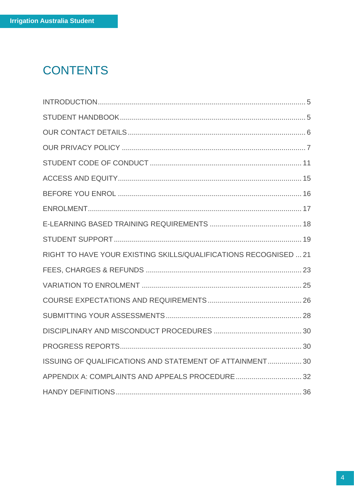### **CONTENTS**

| RIGHT TO HAVE YOUR EXISTING SKILLS/QUALIFICATIONS RECOGNISED  21 |  |
|------------------------------------------------------------------|--|
|                                                                  |  |
|                                                                  |  |
|                                                                  |  |
|                                                                  |  |
|                                                                  |  |
|                                                                  |  |
| ISSUING OF QUALIFICATIONS AND STATEMENT OF ATTAINMENT 30         |  |
| APPENDIX A: COMPLAINTS AND APPEALS PROCEDURE 32                  |  |
|                                                                  |  |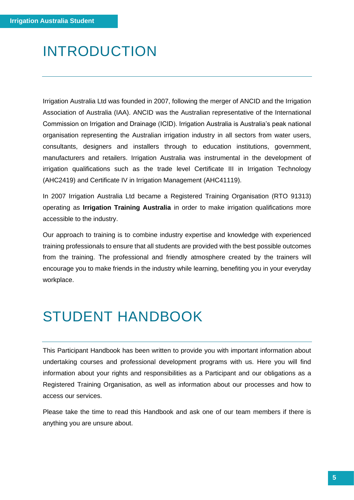### <span id="page-4-0"></span>INTRODUCTION

Irrigation Australia Ltd was founded in 2007, following the merger of ANCID and the Irrigation Association of Australia (IAA). ANCID was the Australian representative of the International Commission on Irrigation and Drainage (ICID). Irrigation Australia is Australia's peak national organisation representing the Australian irrigation industry in all sectors from water users, consultants, designers and installers through to education institutions, government, manufacturers and retailers. Irrigation Australia was instrumental in the development of irrigation qualifications such as the trade level Certificate III in Irrigation Technology (AHC2419) and Certificate IV in Irrigation Management (AHC41119).

In 2007 Irrigation Australia Ltd became a Registered Training Organisation (RTO 91313) operating as **Irrigation Training Australia** in order to make irrigation qualifications more accessible to the industry.

Our approach to training is to combine industry expertise and knowledge with experienced training professionals to ensure that all students are provided with the best possible outcomes from the training. The professional and friendly atmosphere created by the trainers will encourage you to make friends in the industry while learning, benefiting you in your everyday workplace.

### <span id="page-4-1"></span>STUDENT HANDBOOK

This Participant Handbook has been written to provide you with important information about undertaking courses and professional development programs with us. Here you will find information about your rights and responsibilities as a Participant and our obligations as a Registered Training Organisation, as well as information about our processes and how to access our services.

Please take the time to read this Handbook and ask one of our team members if there is anything you are unsure about.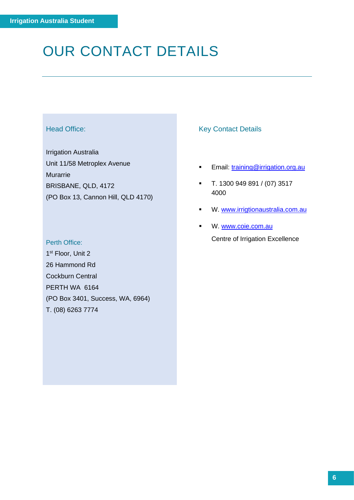### <span id="page-5-0"></span>OUR CONTACT DETAILS

### Head Office:

Irrigation Australia Unit 11/58 Metroplex Avenue Murarrie BRISBANE, QLD, 4172 (PO Box 13, Cannon Hill, QLD 4170)

### Key Contact Details

- **Email:** [training@irrigation.org.au](mailto:training@irrigation.org.au)
- T. 1300 949 891 / (07) 3517 4000
- **W. [www.irrigtionaustralia.com.au](http://www.irrigtionaustralia.com.au/)**
- W. [www.coie.com.au](http://www.coie.com.au/) Centre of Irrigation Excellence

Perth Office: 1<sup>st</sup> Floor, Unit 2 26 Hammond Rd Cockburn Central PERTH WA 6164 (PO Box 3401, Success, WA, 6964) T. (08) 6263 7774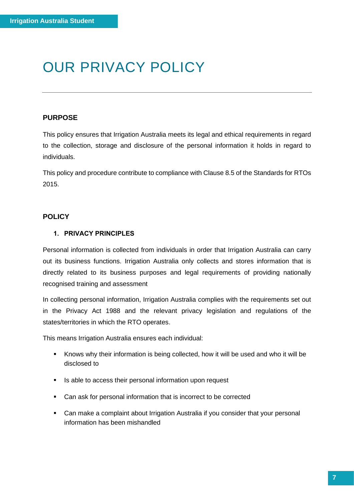### <span id="page-6-0"></span>OUR PRIVACY POLICY

### **PURPOSE**

This policy ensures that Irrigation Australia meets its legal and ethical requirements in regard to the collection, storage and disclosure of the personal information it holds in regard to individuals.

This policy and procedure contribute to compliance with Clause 8.5 of the Standards for RTOs 2015.

### **POLICY**

### **1. PRIVACY PRINCIPLES**

Personal information is collected from individuals in order that Irrigation Australia can carry out its business functions. Irrigation Australia only collects and stores information that is directly related to its business purposes and legal requirements of providing nationally recognised training and assessment

In collecting personal information, Irrigation Australia complies with the requirements set out in the Privacy Act 1988 and the relevant privacy legislation and regulations of the states/territories in which the RTO operates.

This means Irrigation Australia ensures each individual:

- Knows why their information is being collected, how it will be used and who it will be disclosed to
- Is able to access their personal information upon request
- Can ask for personal information that is incorrect to be corrected
- Can make a complaint about Irrigation Australia if you consider that your personal information has been mishandled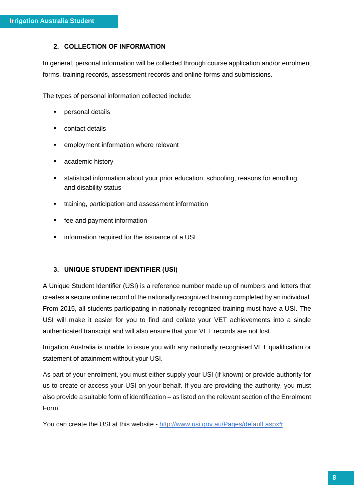### **2. COLLECTION OF INFORMATION**

In general, personal information will be collected through course application and/or enrolment forms, training records, assessment records and online forms and submissions.

The types of personal information collected include:

- personal details
- contact details
- employment information where relevant
- academic history
- **EXECT** statistical information about your prior education, schooling, reasons for enrolling, and disability status
- **•** training, participation and assessment information
- fee and payment information
- information required for the issuance of a USI

### **3. UNIQUE STUDENT IDENTIFIER (USI)**

A Unique Student Identifier (USI) is a reference number made up of numbers and letters that creates a secure online record of the nationally recognized training completed by an individual. From 2015, all students participating in nationally recognized training must have a USI. The USI will make it easier for you to find and collate your VET achievements into a single authenticated transcript and will also ensure that your VET records are not lost.

Irrigation Australia is unable to issue you with any nationally recognised VET qualification or statement of attainment without your USI.

As part of your enrolment, you must either supply your USI (if known) or provide authority for us to create or access your USI on your behalf. If you are providing the authority, you must also provide a suitable form of identification – as listed on the relevant section of the Enrolment Form.

You can create the USI at this website - [http://www.usi.gov.au/Pages/default.aspx#](http://www.usi.gov.au/Pages/default.aspx)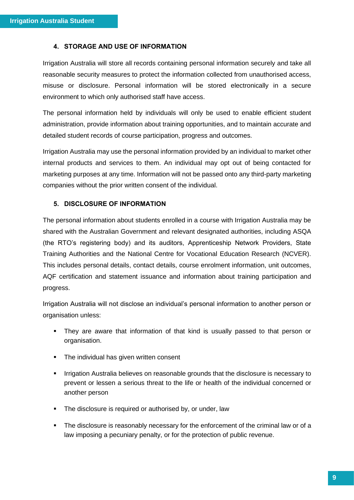#### **4. STORAGE AND USE OF INFORMATION**

Irrigation Australia will store all records containing personal information securely and take all reasonable security measures to protect the information collected from unauthorised access, misuse or disclosure. Personal information will be stored electronically in a secure environment to which only authorised staff have access.

The personal information held by individuals will only be used to enable efficient student administration, provide information about training opportunities, and to maintain accurate and detailed student records of course participation, progress and outcomes.

Irrigation Australia may use the personal information provided by an individual to market other internal products and services to them. An individual may opt out of being contacted for marketing purposes at any time. Information will not be passed onto any third-party marketing companies without the prior written consent of the individual.

### **5. DISCLOSURE OF INFORMATION**

The personal information about students enrolled in a course with Irrigation Australia may be shared with the Australian Government and relevant designated authorities, including ASQA (the RTO's registering body) and its auditors, Apprenticeship Network Providers, State Training Authorities and the National Centre for Vocational Education Research (NCVER). This includes personal details, contact details, course enrolment information, unit outcomes, AQF certification and statement issuance and information about training participation and progress.

Irrigation Australia will not disclose an individual's personal information to another person or organisation unless:

- They are aware that information of that kind is usually passed to that person or organisation.
- The individual has given written consent
- Irrigation Australia believes on reasonable grounds that the disclosure is necessary to prevent or lessen a serious threat to the life or health of the individual concerned or another person
- **•** The disclosure is required or authorised by, or under, law
- The disclosure is reasonably necessary for the enforcement of the criminal law or of a law imposing a pecuniary penalty, or for the protection of public revenue.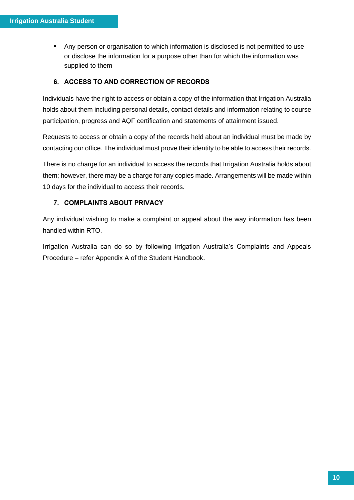Any person or organisation to which information is disclosed is not permitted to use or disclose the information for a purpose other than for which the information was supplied to them

### **6. ACCESS TO AND CORRECTION OF RECORDS**

Individuals have the right to access or obtain a copy of the information that Irrigation Australia holds about them including personal details, contact details and information relating to course participation, progress and AQF certification and statements of attainment issued.

Requests to access or obtain a copy of the records held about an individual must be made by contacting our office. The individual must prove their identity to be able to access their records.

There is no charge for an individual to access the records that Irrigation Australia holds about them; however, there may be a charge for any copies made. Arrangements will be made within 10 days for the individual to access their records.

### **7. COMPLAINTS ABOUT PRIVACY**

Any individual wishing to make a complaint or appeal about the way information has been handled within RTO.

Irrigation Australia can do so by following Irrigation Australia's Complaints and Appeals Procedure – refer Appendix A of the Student Handbook.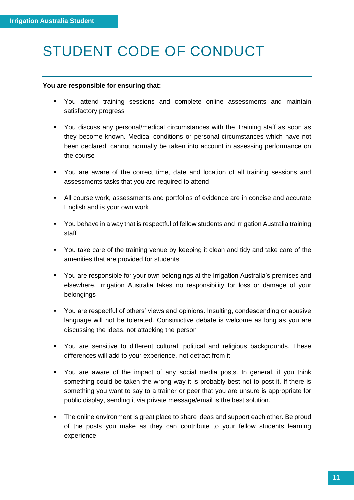### <span id="page-10-0"></span>STUDENT CODE OF CONDUCT

### **You are responsible for ensuring that:**

- You attend training sessions and complete online assessments and maintain satisfactory progress
- You discuss any personal/medical circumstances with the Training staff as soon as they become known. Medical conditions or personal circumstances which have not been declared, cannot normally be taken into account in assessing performance on the course
- You are aware of the correct time, date and location of all training sessions and assessments tasks that you are required to attend
- All course work, assessments and portfolios of evidence are in concise and accurate English and is your own work
- You behave in a way that is respectful of fellow students and Irrigation Australia training staff
- You take care of the training venue by keeping it clean and tidy and take care of the amenities that are provided for students
- You are responsible for your own belongings at the Irrigation Australia's premises and elsewhere. Irrigation Australia takes no responsibility for loss or damage of your belongings
- You are respectful of others' views and opinions. Insulting, condescending or abusive language will not be tolerated. Constructive debate is welcome as long as you are discussing the ideas, not attacking the person
- You are sensitive to different cultural, political and religious backgrounds. These differences will add to your experience, not detract from it
- You are aware of the impact of any social media posts. In general, if you think something could be taken the wrong way it is probably best not to post it. If there is something you want to say to a trainer or peer that you are unsure is appropriate for public display, sending it via private message/email is the best solution.
- **•** The online environment is great place to share ideas and support each other. Be proud of the posts you make as they can contribute to your fellow students learning experience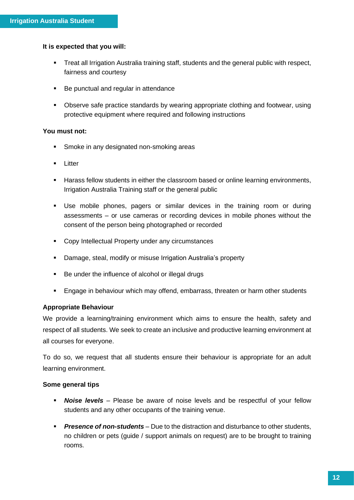### **It is expected that you will:**

- Treat all Irrigation Australia training staff, students and the general public with respect, fairness and courtesy
- Be punctual and regular in attendance
- Observe safe practice standards by wearing appropriate clothing and footwear, using protective equipment where required and following instructions

### **You must not:**

- **Smoke in any designated non-smoking areas**
- Litter
- Harass fellow students in either the classroom based or online learning environments, Irrigation Australia Training staff or the general public
- Use mobile phones, pagers or similar devices in the training room or during assessments – or use cameras or recording devices in mobile phones without the consent of the person being photographed or recorded
- Copy Intellectual Property under any circumstances
- Damage, steal, modify or misuse Irrigation Australia's property
- Be under the influence of alcohol or illegal drugs
- Engage in behaviour which may offend, embarrass, threaten or harm other students

### **Appropriate Behaviour**

We provide a learning/training environment which aims to ensure the health, safety and respect of all students. We seek to create an inclusive and productive learning environment at all courses for everyone.

To do so, we request that all students ensure their behaviour is appropriate for an adult learning environment.

### **Some general tips**

- *Noise levels* Please be aware of noise levels and be respectful of your fellow students and any other occupants of the training venue.
- *Presence of non-students* Due to the distraction and disturbance to other students, no children or pets (guide / support animals on request) are to be brought to training rooms.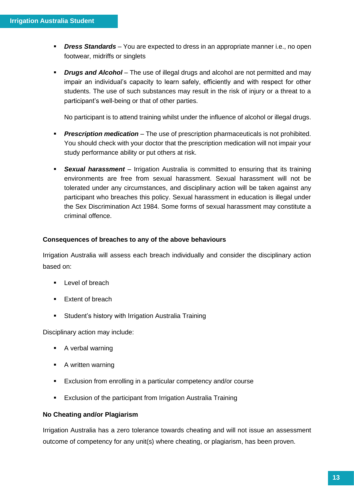- *Dress Standards* You are expected to dress in an appropriate manner i.e., no open footwear, midriffs or singlets
- *Drugs and Alcohol* The use of illegal drugs and alcohol are not permitted and may impair an individual's capacity to learn safely, efficiently and with respect for other students. The use of such substances may result in the risk of injury or a threat to a participant's well-being or that of other parties.

No participant is to attend training whilst under the influence of alcohol or illegal drugs.

- *Prescription medication* The use of prescription pharmaceuticals is not prohibited. You should check with your doctor that the prescription medication will not impair your study performance ability or put others at risk.
- **Sexual harassment** Irrigation Australia is committed to ensuring that its training environments are free from sexual harassment. Sexual harassment will not be tolerated under any circumstances, and disciplinary action will be taken against any participant who breaches this policy. Sexual harassment in education is illegal under the Sex Discrimination Act 1984. Some forms of sexual harassment may constitute a criminal offence.

### **Consequences of breaches to any of the above behaviours**

Irrigation Australia will assess each breach individually and consider the disciplinary action based on:

- Level of breach
- Extent of breach
- **EXECT:** Student's history with Irrigation Australia Training

Disciplinary action may include:

- A verbal warning
- A written warning
- Exclusion from enrolling in a particular competency and/or course
- Exclusion of the participant from Irrigation Australia Training

### **No Cheating and/or Plagiarism**

Irrigation Australia has a zero tolerance towards cheating and will not issue an assessment outcome of competency for any unit(s) where cheating, or plagiarism, has been proven.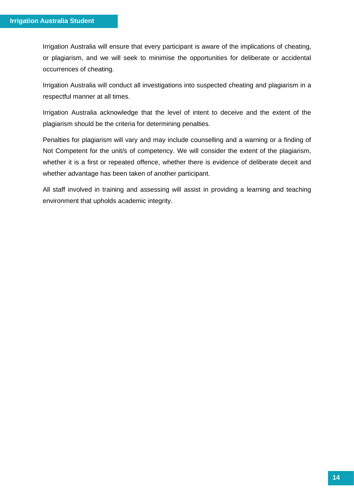Irrigation Australia will ensure that every participant is aware of the implications of cheating, or plagiarism, and we will seek to minimise the opportunities for deliberate or accidental occurrences of cheating.

Irrigation Australia will conduct all investigations into suspected cheating and plagiarism in a respectful manner at all times.

Irrigation Australia acknowledge that the level of intent to deceive and the extent of the plagiarism should be the criteria for determining penalties.

Penalties for plagiarism will vary and may include counselling and a warning or a finding of Not Competent for the unit/s of competency. We will consider the extent of the plagiarism, whether it is a first or repeated offence, whether there is evidence of deliberate deceit and whether advantage has been taken of another participant.

All staff involved in training and assessing will assist in providing a learning and teaching environment that upholds academic integrity.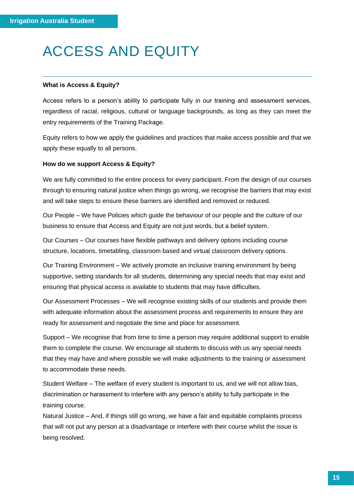### <span id="page-14-0"></span>ACCESS AND EQUITY

### **What is Access & Equity?**

Access refers to a person's ability to participate fully in our training and assessment services, regardless of racial, religious, cultural or language backgrounds, as long as they can meet the entry requirements of the Training Package.

Equity refers to how we apply the guidelines and practices that make access possible and that we apply these equally to all persons.

### **How do we support Access & Equity?**

We are fully committed to the entire process for every participant. From the design of our courses through to ensuring natural justice when things go wrong, we recognise the barriers that may exist and will take steps to ensure these barriers are identified and removed or reduced.

Our People – We have Policies which guide the behaviour of our people and the culture of our business to ensure that Access and Equity are not just words, but a belief system.

Our Courses – Our courses have flexible pathways and delivery options including course structure, locations, timetabling, classroom based and virtual classroom delivery options.

Our Training Environment – We actively promote an inclusive training environment by being supportive, setting standards for all students, determining any special needs that may exist and ensuring that physical access is available to students that may have difficulties.

Our Assessment Processes – We will recognise existing skills of our students and provide them with adequate information about the assessment process and requirements to ensure they are ready for assessment and negotiate the time and place for assessment.

Support – We recognise that from time to time a person may require additional support to enable them to complete the course. We encourage all students to discuss with us any special needs that they may have and where possible we will make adjustments to the training or assessment to accommodate these needs.

Student Welfare – The welfare of every student is important to us, and we will not allow bias, discrimination or harassment to interfere with any person's ability to fully participate in the training course.

Natural Justice – And, if things still go wrong, we have a fair and equitable complaints process that will not put any person at a disadvantage or interfere with their course whilst the issue is being resolved.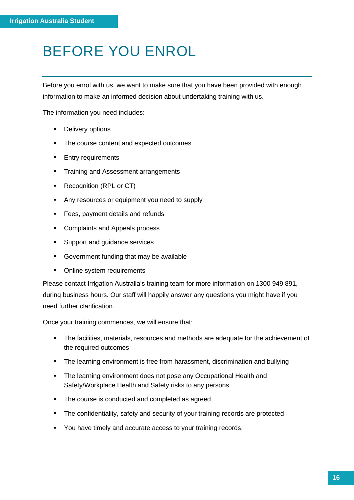### <span id="page-15-0"></span>BEFORE YOU ENROL

Before you enrol with us, we want to make sure that you have been provided with enough information to make an informed decision about undertaking training with us.

The information you need includes:

- Delivery options
- The course content and expected outcomes
- **Entry requirements**
- **•** Training and Assessment arrangements
- Recognition (RPL or CT)
- Any resources or equipment you need to supply
- Fees, payment details and refunds
- Complaints and Appeals process
- Support and guidance services
- Government funding that may be available
- Online system requirements

Please contact Irrigation Australia's training team for more information on 1300 949 891, during business hours. Our staff will happily answer any questions you might have if you need further clarification.

Once your training commences, we will ensure that:

- The facilities, materials, resources and methods are adequate for the achievement of the required outcomes
- The learning environment is free from harassment, discrimination and bullying
- The learning environment does not pose any Occupational Health and Safety/Workplace Health and Safety risks to any persons
- The course is conducted and completed as agreed
- **•** The confidentiality, safety and security of your training records are protected
- You have timely and accurate access to your training records.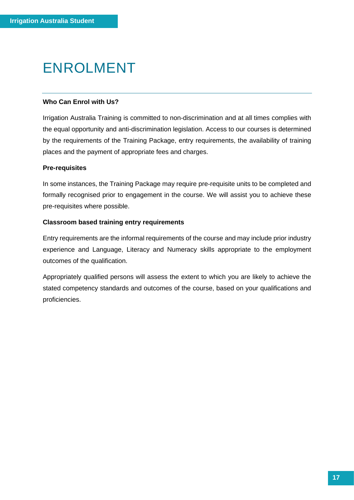### <span id="page-16-0"></span>ENROLMENT

### **Who Can Enrol with Us?**

Irrigation Australia Training is committed to non-discrimination and at all times complies with the equal opportunity and anti-discrimination legislation. Access to our courses is determined by the requirements of the Training Package, entry requirements, the availability of training places and the payment of appropriate fees and charges.

### **Pre-requisites**

In some instances, the Training Package may require pre-requisite units to be completed and formally recognised prior to engagement in the course. We will assist you to achieve these pre-requisites where possible.

### **Classroom based training entry requirements**

Entry requirements are the informal requirements of the course and may include prior industry experience and Language, Literacy and Numeracy skills appropriate to the employment outcomes of the qualification.

Appropriately qualified persons will assess the extent to which you are likely to achieve the stated competency standards and outcomes of the course, based on your qualifications and proficiencies.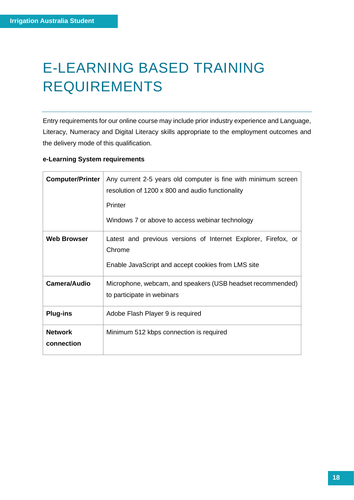# <span id="page-17-0"></span>E-LEARNING BASED TRAINING REQUIREMENTS

Entry requirements for our online course may include prior industry experience and Language, Literacy, Numeracy and Digital Literacy skills appropriate to the employment outcomes and the delivery mode of this qualification.

### **e-Learning System requirements**

| <b>Computer/Printer</b>      | Any current 2-5 years old computer is fine with minimum screen<br>resolution of 1200 x 800 and audio functionality<br><b>Printer</b> |  |
|------------------------------|--------------------------------------------------------------------------------------------------------------------------------------|--|
|                              | Windows 7 or above to access webinar technology                                                                                      |  |
| <b>Web Browser</b>           | Latest and previous versions of Internet Explorer, Firefox, or<br>Chrome<br>Enable JavaScript and accept cookies from LMS site       |  |
| Camera/Audio                 | Microphone, webcam, and speakers (USB headset recommended)<br>to participate in webinars                                             |  |
| <b>Plug-ins</b>              | Adobe Flash Player 9 is required                                                                                                     |  |
| <b>Network</b><br>connection | Minimum 512 kbps connection is required                                                                                              |  |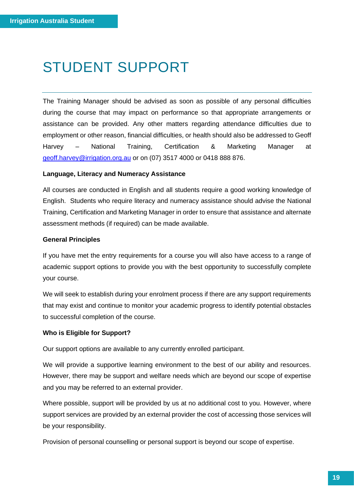### <span id="page-18-0"></span>STUDENT SUPPORT

The Training Manager should be advised as soon as possible of any personal difficulties during the course that may impact on performance so that appropriate arrangements or assistance can be provided. Any other matters regarding attendance difficulties due to employment or other reason, financial difficulties, or health should also be addressed to Geoff Harvey – National Training, Certification & Marketing Manager at [geoff.harvey@irrigation.org.au](mailto:geoff.harvey@irrigation.org.au) or on (07) 3517 4000 or 0418 888 876.

### **Language, Literacy and Numeracy Assistance**

All courses are conducted in English and all students require a good working knowledge of English. Students who require literacy and numeracy assistance should advise the National Training, Certification and Marketing Manager in order to ensure that assistance and alternate assessment methods (if required) can be made available.

### **General Principles**

If you have met the entry requirements for a course you will also have access to a range of academic support options to provide you with the best opportunity to successfully complete your course.

We will seek to establish during your enrolment process if there are any support requirements that may exist and continue to monitor your academic progress to identify potential obstacles to successful completion of the course.

### **Who is Eligible for Support?**

Our support options are available to any currently enrolled participant.

We will provide a supportive learning environment to the best of our ability and resources. However, there may be support and welfare needs which are beyond our scope of expertise and you may be referred to an external provider.

Where possible, support will be provided by us at no additional cost to you. However, where support services are provided by an external provider the cost of accessing those services will be your responsibility.

Provision of personal counselling or personal support is beyond our scope of expertise.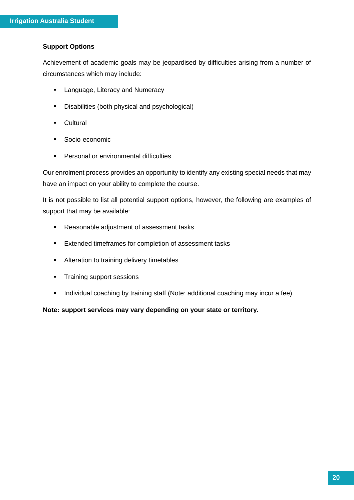### **Support Options**

Achievement of academic goals may be jeopardised by difficulties arising from a number of circumstances which may include:

- Language, Literacy and Numeracy
- Disabilities (both physical and psychological)
- Cultural
- Socio-economic
- Personal or environmental difficulties

Our enrolment process provides an opportunity to identify any existing special needs that may have an impact on your ability to complete the course.

It is not possible to list all potential support options, however, the following are examples of support that may be available:

- Reasonable adjustment of assessment tasks
- Extended timeframes for completion of assessment tasks
- Alteration to training delivery timetables
- Training support sessions
- Individual coaching by training staff (Note: additional coaching may incur a fee)

**Note: support services may vary depending on your state or territory.**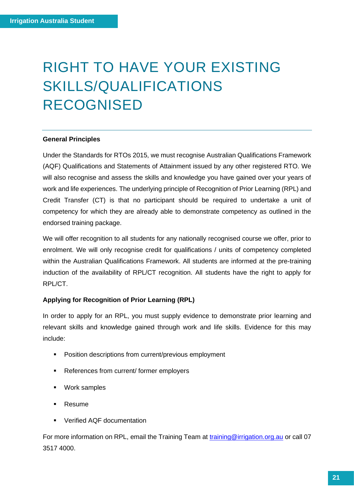## <span id="page-20-0"></span>RIGHT TO HAVE YOUR EXISTING SKILLS/QUALIFICATIONS RECOGNISED

#### **General Principles**

Under the Standards for RTOs 2015, we must recognise Australian Qualifications Framework (AQF) Qualifications and Statements of Attainment issued by any other registered RTO. We will also recognise and assess the skills and knowledge you have gained over your years of work and life experiences. The underlying principle of Recognition of Prior Learning (RPL) and Credit Transfer (CT) is that no participant should be required to undertake a unit of competency for which they are already able to demonstrate competency as outlined in the endorsed training package.

We will offer recognition to all students for any nationally recognised course we offer, prior to enrolment. We will only recognise credit for qualifications / units of competency completed within the Australian Qualifications Framework. All students are informed at the pre-training induction of the availability of RPL/CT recognition. All students have the right to apply for RPL/CT.

### **Applying for Recognition of Prior Learning (RPL)**

In order to apply for an RPL, you must supply evidence to demonstrate prior learning and relevant skills and knowledge gained through work and life skills. Evidence for this may include:

- Position descriptions from current/previous employment
- References from current/ former employers
- Work samples
- Resume
- Verified AQF documentation

For more information on RPL, email the Training Team at [training@irrigation.org.au](mailto:training@irrigation.org.au) or call 07 3517 4000.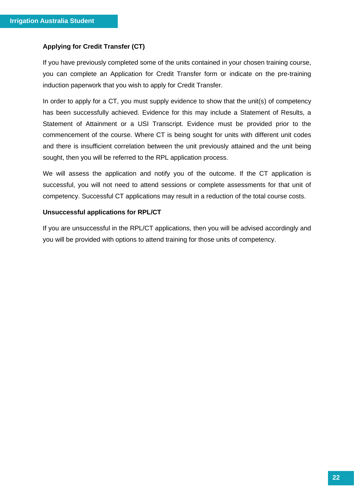### **Applying for Credit Transfer (CT)**

If you have previously completed some of the units contained in your chosen training course, you can complete an Application for Credit Transfer form or indicate on the pre-training induction paperwork that you wish to apply for Credit Transfer.

In order to apply for a CT, you must supply evidence to show that the unit(s) of competency has been successfully achieved. Evidence for this may include a Statement of Results, a Statement of Attainment or a USI Transcript. Evidence must be provided prior to the commencement of the course. Where CT is being sought for units with different unit codes and there is insufficient correlation between the unit previously attained and the unit being sought, then you will be referred to the RPL application process.

We will assess the application and notify you of the outcome. If the CT application is successful, you will not need to attend sessions or complete assessments for that unit of competency. Successful CT applications may result in a reduction of the total course costs.

### **Unsuccessful applications for RPL/CT**

If you are unsuccessful in the RPL/CT applications, then you will be advised accordingly and you will be provided with options to attend training for those units of competency.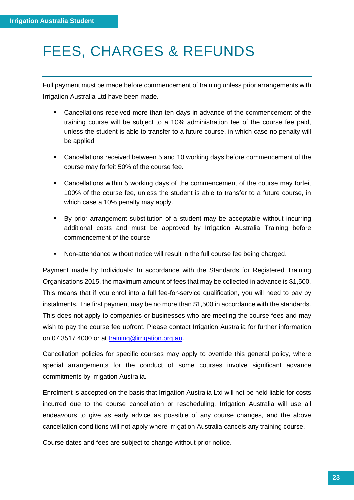### <span id="page-22-0"></span>FEES, CHARGES & REFUNDS

Full payment must be made before commencement of training unless prior arrangements with Irrigation Australia Ltd have been made.

- Cancellations received more than ten days in advance of the commencement of the training course will be subject to a 10% administration fee of the course fee paid, unless the student is able to transfer to a future course, in which case no penalty will be applied
- Cancellations received between 5 and 10 working days before commencement of the course may forfeit 50% of the course fee.
- Cancellations within 5 working days of the commencement of the course may forfeit 100% of the course fee, unless the student is able to transfer to a future course, in which case a 10% penalty may apply.
- By prior arrangement substitution of a student may be acceptable without incurring additional costs and must be approved by Irrigation Australia Training before commencement of the course
- Non-attendance without notice will result in the full course fee being charged.

Payment made by Individuals: In accordance with the Standards for Registered Training Organisations 2015, the maximum amount of fees that may be collected in advance is \$1,500. This means that if you enrol into a full fee-for-service qualification, you will need to pay by instalments. The first payment may be no more than \$1,500 in accordance with the standards. This does not apply to companies or businesses who are meeting the course fees and may wish to pay the course fee upfront. Please contact Irrigation Australia for further information on 07 3517 4000 or at [training@irrigation.org.au.](mailto:training@irrigation.org.au)

Cancellation policies for specific courses may apply to override this general policy, where special arrangements for the conduct of some courses involve significant advance commitments by Irrigation Australia.

Enrolment is accepted on the basis that Irrigation Australia Ltd will not be held liable for costs incurred due to the course cancellation or rescheduling. Irrigation Australia will use all endeavours to give as early advice as possible of any course changes, and the above cancellation conditions will not apply where Irrigation Australia cancels any training course.

Course dates and fees are subject to change without prior notice.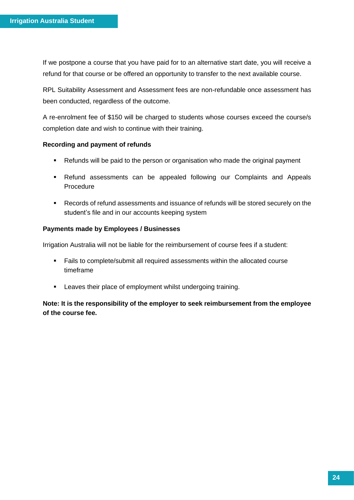If we postpone a course that you have paid for to an alternative start date, you will receive a refund for that course or be offered an opportunity to transfer to the next available course.

RPL Suitability Assessment and Assessment fees are non-refundable once assessment has been conducted, regardless of the outcome.

A re-enrolment fee of \$150 will be charged to students whose courses exceed the course/s completion date and wish to continue with their training.

### **Recording and payment of refunds**

- Refunds will be paid to the person or organisation who made the original payment
- Refund assessments can be appealed following our Complaints and Appeals Procedure
- Records of refund assessments and issuance of refunds will be stored securely on the student's file and in our accounts keeping system

### **Payments made by Employees / Businesses**

Irrigation Australia will not be liable for the reimbursement of course fees if a student:

- Fails to complete/submit all required assessments within the allocated course timeframe
- **EXECT:** Leaves their place of employment whilst undergoing training.

**Note: It is the responsibility of the employer to seek reimbursement from the employee of the course fee.**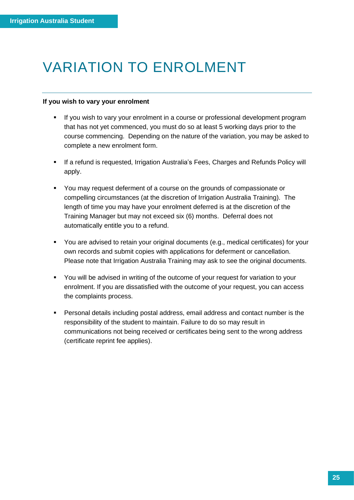### <span id="page-24-0"></span>VARIATION TO ENROLMENT

### **If you wish to vary your enrolment**

- **■** If you wish to vary your enrolment in a course or professional development program that has not yet commenced, you must do so at least 5 working days prior to the course commencing. Depending on the nature of the variation, you may be asked to complete a new enrolment form.
- **EXT** If a refund is requested, Irrigation Australia's Fees, Charges and Refunds Policy will apply.
- You may request deferment of a course on the grounds of compassionate or compelling circumstances (at the discretion of Irrigation Australia Training). The length of time you may have your enrolment deferred is at the discretion of the Training Manager but may not exceed six (6) months. Deferral does not automatically entitle you to a refund.
- You are advised to retain your original documents (e.g., medical certificates) for your own records and submit copies with applications for deferment or cancellation. Please note that Irrigation Australia Training may ask to see the original documents.
- You will be advised in writing of the outcome of your request for variation to your enrolment. If you are dissatisfied with the outcome of your request, you can access the complaints process.
- Personal details including postal address, email address and contact number is the responsibility of the student to maintain. Failure to do so may result in communications not being received or certificates being sent to the wrong address (certificate reprint fee applies).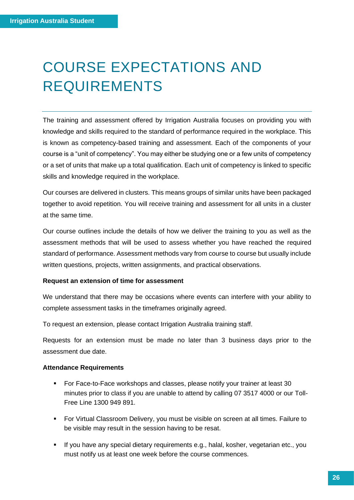### <span id="page-25-0"></span>COURSE EXPECTATIONS AND REQUIREMENTS

The training and assessment offered by Irrigation Australia focuses on providing you with knowledge and skills required to the standard of performance required in the workplace. This is known as competency-based training and assessment. Each of the components of your course is a "unit of competency". You may either be studying one or a few units of competency or a set of units that make up a total qualification. Each unit of competency is linked to specific skills and knowledge required in the workplace.

Our courses are delivered in clusters. This means groups of similar units have been packaged together to avoid repetition. You will receive training and assessment for all units in a cluster at the same time.

Our course outlines include the details of how we deliver the training to you as well as the assessment methods that will be used to assess whether you have reached the required standard of performance. Assessment methods vary from course to course but usually include written questions, projects, written assignments, and practical observations.

### **Request an extension of time for assessment**

We understand that there may be occasions where events can interfere with your ability to complete assessment tasks in the timeframes originally agreed.

To request an extension, please contact Irrigation Australia training staff.

Requests for an extension must be made no later than 3 business days prior to the assessment due date.

### **Attendance Requirements**

- For Face-to-Face workshops and classes, please notify your trainer at least 30 minutes prior to class if you are unable to attend by calling 07 3517 4000 or our Toll-Free Line 1300 949 891.
- For Virtual Classroom Delivery, you must be visible on screen at all times. Failure to be visible may result in the session having to be resat.
- **EXECT** If you have any special dietary requirements e.g., halal, kosher, vegetarian etc., you must notify us at least one week before the course commences.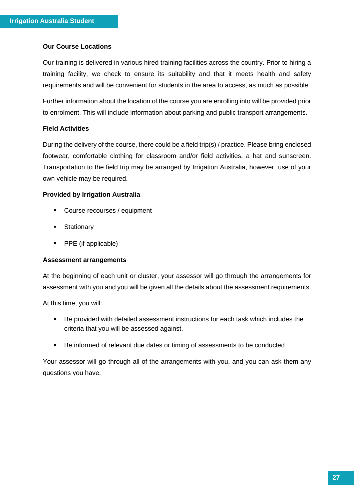### **Our Course Locations**

Our training is delivered in various hired training facilities across the country. Prior to hiring a training facility, we check to ensure its suitability and that it meets health and safety requirements and will be convenient for students in the area to access, as much as possible.

Further information about the location of the course you are enrolling into will be provided prior to enrolment. This will include information about parking and public transport arrangements.

### **Field Activities**

During the delivery of the course, there could be a field trip(s) / practice. Please bring enclosed footwear, comfortable clothing for classroom and/or field activities, a hat and sunscreen. Transportation to the field trip may be arranged by Irrigation Australia, however, use of your own vehicle may be required.

### **Provided by Irrigation Australia**

- Course recourses / equipment
- **■** Stationary
- PPE (if applicable)

#### **Assessment arrangements**

At the beginning of each unit or cluster, your assessor will go through the arrangements for assessment with you and you will be given all the details about the assessment requirements.

At this time, you will:

- Be provided with detailed assessment instructions for each task which includes the criteria that you will be assessed against.
- Be informed of relevant due dates or timing of assessments to be conducted

Your assessor will go through all of the arrangements with you, and you can ask them any questions you have.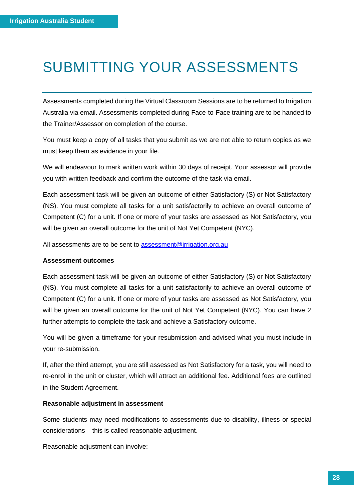### <span id="page-27-0"></span>SUBMITTING YOUR ASSESSMENTS

Assessments completed during the Virtual Classroom Sessions are to be returned to Irrigation Australia via email. Assessments completed during Face-to-Face training are to be handed to the Trainer/Assessor on completion of the course.

You must keep a copy of all tasks that you submit as we are not able to return copies as we must keep them as evidence in your file.

We will endeavour to mark written work within 30 days of receipt. Your assessor will provide you with written feedback and confirm the outcome of the task via email.

Each assessment task will be given an outcome of either Satisfactory (S) or Not Satisfactory (NS). You must complete all tasks for a unit satisfactorily to achieve an overall outcome of Competent (C) for a unit. If one or more of your tasks are assessed as Not Satisfactory, you will be given an overall outcome for the unit of Not Yet Competent (NYC).

All assessments are to be sent to [assessment@irrigation.org.au](mailto:assessment@irrigation.org.au)

### **Assessment outcomes**

Each assessment task will be given an outcome of either Satisfactory (S) or Not Satisfactory (NS). You must complete all tasks for a unit satisfactorily to achieve an overall outcome of Competent (C) for a unit. If one or more of your tasks are assessed as Not Satisfactory, you will be given an overall outcome for the unit of Not Yet Competent (NYC). You can have 2 further attempts to complete the task and achieve a Satisfactory outcome.

You will be given a timeframe for your resubmission and advised what you must include in your re-submission.

If, after the third attempt, you are still assessed as Not Satisfactory for a task, you will need to re-enrol in the unit or cluster, which will attract an additional fee. Additional fees are outlined in the Student Agreement.

### **Reasonable adjustment in assessment**

Some students may need modifications to assessments due to disability, illness or special considerations – this is called reasonable adjustment.

Reasonable adjustment can involve: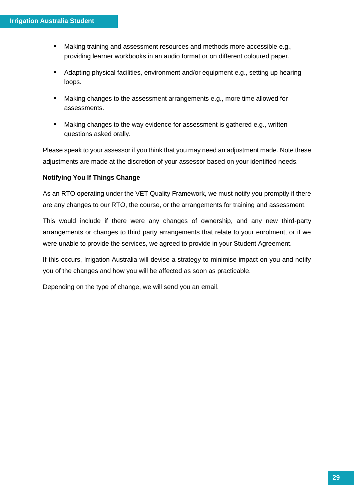- Making training and assessment resources and methods more accessible e.g., providing learner workbooks in an audio format or on different coloured paper.
- Adapting physical facilities, environment and/or equipment e.g., setting up hearing loops.
- Making changes to the assessment arrangements e.g., more time allowed for assessments.
- Making changes to the way evidence for assessment is gathered e.g., written questions asked orally.

Please speak to your assessor if you think that you may need an adjustment made. Note these adjustments are made at the discretion of your assessor based on your identified needs.

### **Notifying You If Things Change**

As an RTO operating under the VET Quality Framework, we must notify you promptly if there are any changes to our RTO, the course, or the arrangements for training and assessment.

This would include if there were any changes of ownership, and any new third-party arrangements or changes to third party arrangements that relate to your enrolment, or if we were unable to provide the services, we agreed to provide in your Student Agreement.

If this occurs, Irrigation Australia will devise a strategy to minimise impact on you and notify you of the changes and how you will be affected as soon as practicable.

Depending on the type of change, we will send you an email.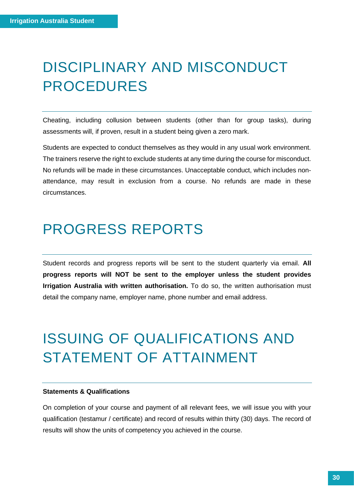### <span id="page-29-0"></span>DISCIPLINARY AND MISCONDUCT PROCEDURES

Cheating, including collusion between students (other than for group tasks), during assessments will, if proven, result in a student being given a zero mark.

Students are expected to conduct themselves as they would in any usual work environment. The trainers reserve the right to exclude students at any time during the course for misconduct. No refunds will be made in these circumstances. Unacceptable conduct, which includes nonattendance, may result in exclusion from a course. No refunds are made in these circumstances.

### <span id="page-29-1"></span>PROGRESS REPORTS

Student records and progress reports will be sent to the student quarterly via email. **All progress reports will NOT be sent to the employer unless the student provides Irrigation Australia with written authorisation.** To do so, the written authorisation must detail the company name, employer name, phone number and email address.

### <span id="page-29-2"></span>ISSUING OF QUALIFICATIONS AND STATEMENT OF ATTAINMENT

#### **Statements & Qualifications**

On completion of your course and payment of all relevant fees, we will issue you with your qualification (testamur / certificate) and record of results within thirty (30) days. The record of results will show the units of competency you achieved in the course.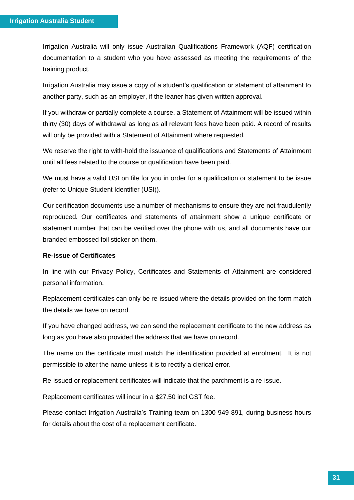Irrigation Australia will only issue Australian Qualifications Framework (AQF) certification documentation to a student who you have assessed as meeting the requirements of the training product.

Irrigation Australia may issue a copy of a student's qualification or statement of attainment to another party, such as an employer, if the leaner has given written approval.

If you withdraw or partially complete a course, a Statement of Attainment will be issued within thirty (30) days of withdrawal as long as all relevant fees have been paid. A record of results will only be provided with a Statement of Attainment where requested.

We reserve the right to with-hold the issuance of qualifications and Statements of Attainment until all fees related to the course or qualification have been paid.

We must have a valid USI on file for you in order for a qualification or statement to be issue (refer to Unique Student Identifier (USI)).

Our certification documents use a number of mechanisms to ensure they are not fraudulently reproduced. Our certificates and statements of attainment show a unique certificate or statement number that can be verified over the phone with us, and all documents have our branded embossed foil sticker on them.

### **Re-issue of Certificates**

In line with our Privacy Policy, Certificates and Statements of Attainment are considered personal information.

Replacement certificates can only be re-issued where the details provided on the form match the details we have on record.

If you have changed address, we can send the replacement certificate to the new address as long as you have also provided the address that we have on record.

The name on the certificate must match the identification provided at enrolment. It is not permissible to alter the name unless it is to rectify a clerical error.

Re-issued or replacement certificates will indicate that the parchment is a re-issue.

Replacement certificates will incur in a \$27.50 incl GST fee.

Please contact Irrigation Australia's Training team on 1300 949 891, during business hours for details about the cost of a replacement certificate.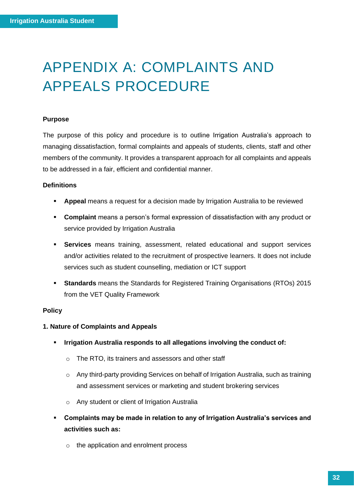### <span id="page-31-0"></span>APPENDIX A: COMPLAINTS AND APPEALS PROCEDURE

### **Purpose**

The purpose of this policy and procedure is to outline Irrigation Australia's approach to managing dissatisfaction, formal complaints and appeals of students, clients, staff and other members of the community. It provides a transparent approach for all complaints and appeals to be addressed in a fair, efficient and confidential manner.

### **Definitions**

- **Appeal** means a request for a decision made by Irrigation Australia to be reviewed
- **Complaint** means a person's formal expression of dissatisfaction with any product or service provided by Irrigation Australia
- **Services** means training, assessment, related educational and support services and/or activities related to the recruitment of prospective learners. It does not include services such as student counselling, mediation or ICT support
- **Standards** means the Standards for Registered Training Organisations (RTOs) 2015 from the VET Quality Framework

### **Policy**

### **1. Nature of Complaints and Appeals**

- **Irrigation Australia responds to all allegations involving the conduct of:**
	- o The RTO, its trainers and assessors and other staff
	- o Any third-party providing Services on behalf of Irrigation Australia, such as training and assessment services or marketing and student brokering services
	- o Any student or client of Irrigation Australia
- **Complaints may be made in relation to any of Irrigation Australia's services and activities such as:**
	- o the application and enrolment process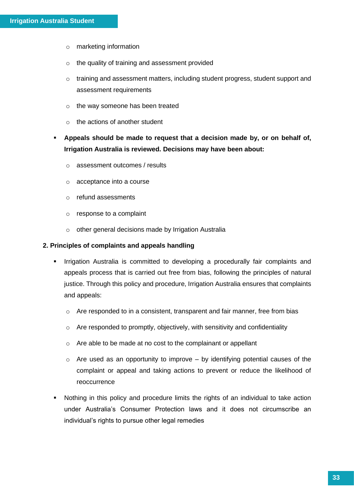- o marketing information
- o the quality of training and assessment provided
- o training and assessment matters, including student progress, student support and assessment requirements
- o the way someone has been treated
- $\circ$  the actions of another student
- **Appeals should be made to request that a decision made by, or on behalf of, Irrigation Australia is reviewed. Decisions may have been about:**
	- o assessment outcomes / results
	- o acceptance into a course
	- o refund assessments
	- o response to a complaint
	- o other general decisions made by Irrigation Australia

### **2. Principles of complaints and appeals handling**

- Irrigation Australia is committed to developing a procedurally fair complaints and appeals process that is carried out free from bias, following the principles of natural justice. Through this policy and procedure, Irrigation Australia ensures that complaints and appeals:
	- $\circ$  Are responded to in a consistent, transparent and fair manner, free from bias
	- o Are responded to promptly, objectively, with sensitivity and confidentiality
	- o Are able to be made at no cost to the complainant or appellant
	- $\circ$  Are used as an opportunity to improve by identifying potential causes of the complaint or appeal and taking actions to prevent or reduce the likelihood of reoccurrence
- Nothing in this policy and procedure limits the rights of an individual to take action under Australia's Consumer Protection laws and it does not circumscribe an individual's rights to pursue other legal remedies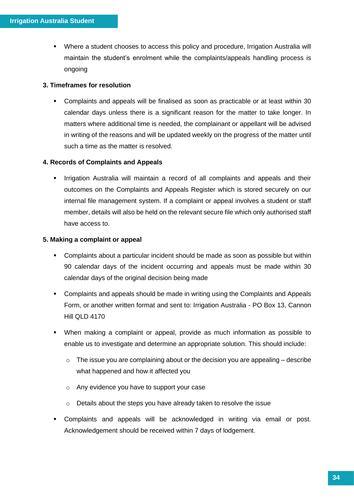▪ Where a student chooses to access this policy and procedure, Irrigation Australia will maintain the student's enrolment while the complaints/appeals handling process is ongoing

### **3. Timeframes for resolution**

▪ Complaints and appeals will be finalised as soon as practicable or at least within 30 calendar days unless there is a significant reason for the matter to take longer. In matters where additional time is needed, the complainant or appellant will be advised in writing of the reasons and will be updated weekly on the progress of the matter until such a time as the matter is resolved.

### **4. Records of Complaints and Appeals**

Irrigation Australia will maintain a record of all complaints and appeals and their outcomes on the Complaints and Appeals Register which is stored securely on our internal file management system. If a complaint or appeal involves a student or staff member, details will also be held on the relevant secure file which only authorised staff have access to.

### **5. Making a complaint or appeal**

- Complaints about a particular incident should be made as soon as possible but within 90 calendar days of the incident occurring and appeals must be made within 30 calendar days of the original decision being made
- Complaints and appeals should be made in writing using the Complaints and Appeals Form, or another written format and sent to: Irrigation Australia - PO Box 13, Cannon Hill QLD 4170
- When making a complaint or appeal, provide as much information as possible to enable us to investigate and determine an appropriate solution. This should include:
	- $\circ$  The issue you are complaining about or the decision you are appealing describe what happened and how it affected you
	- o Any evidence you have to support your case
	- o Details about the steps you have already taken to resolve the issue
- Complaints and appeals will be acknowledged in writing via email or post. Acknowledgement should be received within 7 days of lodgement.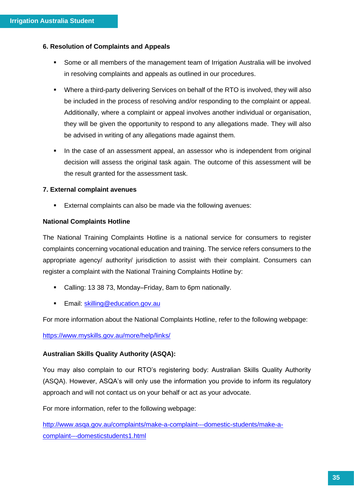### **6. Resolution of Complaints and Appeals**

- Some or all members of the management team of Irrigation Australia will be involved in resolving complaints and appeals as outlined in our procedures.
- Where a third-party delivering Services on behalf of the RTO is involved, they will also be included in the process of resolving and/or responding to the complaint or appeal. Additionally, where a complaint or appeal involves another individual or organisation, they will be given the opportunity to respond to any allegations made. They will also be advised in writing of any allegations made against them.
- **•** In the case of an assessment appeal, an assessor who is independent from original decision will assess the original task again. The outcome of this assessment will be the result granted for the assessment task.

### **7. External complaint avenues**

■ External complaints can also be made via the following avenues:

### **National Complaints Hotline**

The National Training Complaints Hotline is a national service for consumers to register complaints concerning vocational education and training. The service refers consumers to the appropriate agency/ authority/ jurisdiction to assist with their complaint. Consumers can register a complaint with the National Training Complaints Hotline by:

- Calling: 13 38 73, Monday–Friday, 8am to 6pm nationally.
- Email: [skilling@education.gov.au](mailto:skilling@education.gov.au)

For more information about the National Complaints Hotline, refer to the following webpage:

<https://www.myskills.gov.au/more/help/links/>

### **Australian Skills Quality Authority (ASQA):**

You may also complain to our RTO's registering body: Australian Skills Quality Authority (ASQA). However, ASQA's will only use the information you provide to inform its regulatory approach and will not contact us on your behalf or act as your advocate.

For more information, refer to the following webpage:

[http://www.asqa.gov.au/complaints/make-a-complaint---domestic-students/make-a](http://www.asqa.gov.au/complaints/make-a-complaint---domestic-students/make-a-complaint---domesticstudents1.html)[complaint---domesticstudents1.html](http://www.asqa.gov.au/complaints/make-a-complaint---domestic-students/make-a-complaint---domesticstudents1.html)